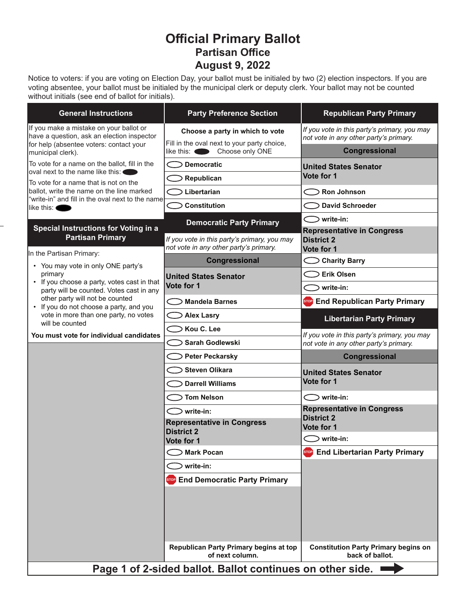# **Official Primary Ballot Partisan Office August 9, 2022**

Notice to voters: if you are voting on Election Day, your ballot must be initialed by two (2) election inspectors. If you are voting absentee, your ballot must be initialed by the municipal clerk or deputy clerk. Your ballot may not be counted without initials (see end of ballot for initials).

| <b>General Instructions</b>                                                                                                                                                                                                                                                             | <b>Party Preference Section</b>                                                        | <b>Republican Party Primary</b>                                                        |
|-----------------------------------------------------------------------------------------------------------------------------------------------------------------------------------------------------------------------------------------------------------------------------------------|----------------------------------------------------------------------------------------|----------------------------------------------------------------------------------------|
| If you make a mistake on your ballot or<br>have a question, ask an election inspector<br>for help (absentee voters: contact your<br>municipal clerk).                                                                                                                                   | Choose a party in which to vote<br>Fill in the oval next to your party choice,         | If you vote in this party's primary, you may<br>not vote in any other party's primary. |
|                                                                                                                                                                                                                                                                                         | like this: Choose only ONE                                                             | Congressional                                                                          |
| To vote for a name on the ballot, fill in the<br>loval next to the name like this: ◀<br>To vote for a name that is not on the<br>ballot, write the name on the line marked<br>"write-in" and fill in the oval next to the name <br>llike this: <b>(</b>                                 | ⊃ Democratic                                                                           | <b>United States Senator</b><br>Vote for 1                                             |
|                                                                                                                                                                                                                                                                                         | Republican                                                                             |                                                                                        |
|                                                                                                                                                                                                                                                                                         | Libertarian                                                                            | $\bigcirc$ Ron Johnson                                                                 |
|                                                                                                                                                                                                                                                                                         | <b>Constitution</b>                                                                    | <b>David Schroeder</b>                                                                 |
| <b>Special Instructions for Voting in a</b><br><b>Partisan Primary</b><br>In the Partisan Primary:                                                                                                                                                                                      | <b>Democratic Party Primary</b>                                                        | $\bigcirc$ write-in:<br><b>Representative in Congress</b>                              |
|                                                                                                                                                                                                                                                                                         | If you vote in this party's primary, you may<br>not vote in any other party's primary. | <b>District 2</b><br>Vote for 1                                                        |
| • You may vote in only ONE party's                                                                                                                                                                                                                                                      | Congressional                                                                          | <b>Charity Barry</b>                                                                   |
| primary<br>• If you choose a party, votes cast in that<br>party will be counted. Votes cast in any<br>other party will not be counted<br>• If you do not choose a party, and you<br>vote in more than one party, no votes<br>will be counted<br>You must vote for individual candidates | <b>United States Senator</b><br>Vote for 1                                             | <b>Erik Olsen</b>                                                                      |
|                                                                                                                                                                                                                                                                                         |                                                                                        | write-in:                                                                              |
|                                                                                                                                                                                                                                                                                         | <b>Mandela Barnes</b>                                                                  | Stop End Republican Party Primary                                                      |
|                                                                                                                                                                                                                                                                                         | <b>Alex Lasry</b>                                                                      | <b>Libertarian Party Primary</b>                                                       |
|                                                                                                                                                                                                                                                                                         | Kou C. Lee                                                                             | If you vote in this party's primary, you may                                           |
|                                                                                                                                                                                                                                                                                         | Sarah Godlewski                                                                        | not vote in any other party's primary.                                                 |
|                                                                                                                                                                                                                                                                                         | <b>Peter Peckarsky</b>                                                                 | Congressional                                                                          |
|                                                                                                                                                                                                                                                                                         | <b>Steven Olikara</b>                                                                  | <b>United States Senator</b>                                                           |
|                                                                                                                                                                                                                                                                                         | <b>Darrell Williams</b>                                                                | Vote for 1                                                                             |
|                                                                                                                                                                                                                                                                                         | <b>Tom Nelson</b>                                                                      | $\bigcirc$ write-in:                                                                   |
|                                                                                                                                                                                                                                                                                         | $\supseteq$ write-in:                                                                  | <b>Representative in Congress</b><br><b>District 2</b>                                 |
|                                                                                                                                                                                                                                                                                         | <b>Representative in Congress</b><br><b>District 2</b><br>Vote for 1                   | Vote for 1                                                                             |
|                                                                                                                                                                                                                                                                                         |                                                                                        | $\bigcirc$ write-in:                                                                   |
|                                                                                                                                                                                                                                                                                         | <b>Mark Pocan</b>                                                                      | <b>End Libertarian Party Primary</b><br><b>STOP</b>                                    |
|                                                                                                                                                                                                                                                                                         | write-in:                                                                              |                                                                                        |
|                                                                                                                                                                                                                                                                                         | STOP End Democratic Party Primary                                                      |                                                                                        |
|                                                                                                                                                                                                                                                                                         |                                                                                        |                                                                                        |
|                                                                                                                                                                                                                                                                                         | Republican Party Primary begins at top<br>of next column.                              | <b>Constitution Party Primary begins on</b><br>back of ballot.                         |
| Page 1 of 2-sided ballot. Ballot continues on other side. I                                                                                                                                                                                                                             |                                                                                        |                                                                                        |